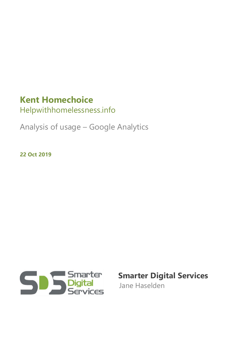## **Kent Homechoice**

Helpwithhomelessness.info

Analysis of usage – Google Analytics

**22 Oct 2019**



 **Smarter Digital Services**

Jane Haselden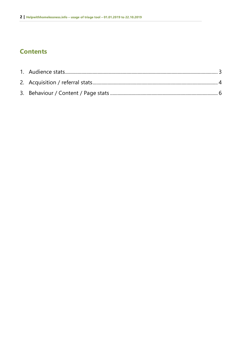### **Contents**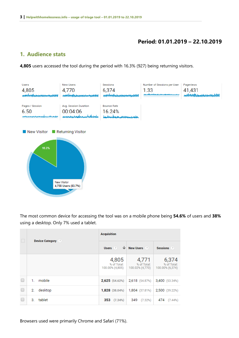#### **Period: 01.01.2019 – 22.10.2019**

#### <span id="page-2-0"></span>**1. Audience stats**

**4,805** users accessed the tool during the period with 16.3% (927) being returning visitors.



The most common device for accessing the tool was on a mobile phone being **54.6%** of users and **38%** using a desktop. Only 7% used a tablet.

|  | <b>Device Category</b> ? | <b>Acquisition</b>                               |                                         |                                         |  |
|--|--------------------------|--------------------------------------------------|-----------------------------------------|-----------------------------------------|--|
|  |                          | Users $\sqrt{2}$ $\sqrt{ }$ New Users $\sqrt{2}$ |                                         | Sessions ?                              |  |
|  |                          | 4,805<br>% of Total:<br>100.00% (4,805)          | 4,771<br>% of Total:<br>100.02% (4,770) | 6,374<br>% of Total:<br>100.00% (6,374) |  |
|  | mobile<br>1.             | 2,625(54.62%)                                    | 2,618 (54.87%)                          | 3,400 (53.34%)                          |  |
|  | desktop<br>2.            | $1,828$ (38.04%)                                 | 1,804 (37.81%)                          | 2,500 (39.22%)                          |  |
|  | tablet<br>З.             | 353 (7.34%)                                      | 349 (7.32%)                             | 474 (7.44%)                             |  |

Browsers used were primarily Chrome and Safari (71%).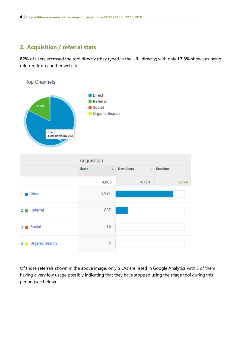### <span id="page-3-0"></span>**2. Acquisition / referral stats**

**82%** of users accessed the tool directly (they typed in the URL directly) with only **17.3%** shown as being referred from another website.



|                                             | Acquisition  |                             |                       |
|---------------------------------------------|--------------|-----------------------------|-----------------------|
|                                             | <b>Users</b> | + New Users<br>$\downarrow$ | <b>Sessions</b><br>J. |
|                                             | 4,805        | 4,770                       | 6,374                 |
| <b>Direct</b><br>1.                         | 3,991        |                             |                       |
| Referral<br>2 <sub>1</sub>                  | 837          |                             |                       |
| Social<br>31<br>$\mathcal{L}_{\mathcal{A}}$ | 15           |                             |                       |
| 4 Organic Search                            | 5            |                             |                       |

Of those referrals shown in the above image, only 5 LAs are listed in Google Analytics with 3 of them having a very low usage possibly indicating that they have stopped using the triage tool during this period (see below).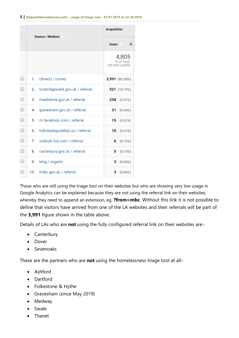|        | Source / Medium (?) |                                  | <b>Acquisition</b>                      |  |
|--------|---------------------|----------------------------------|-----------------------------------------|--|
|        |                     |                                  | ↓<br>Users (?)                          |  |
|        |                     |                                  | 4,805<br>% of Total:<br>100.00% (4,805) |  |
| O      | 1.                  | (direct) / (none)                | 3,991 (82.20%)                          |  |
| □      | 2.                  | tunbridgewells.gov.uk / referral | 521 (10.73%)                            |  |
| □      | 3.                  | maidstone.gov.uk / referral      | 258 (5.31%)                             |  |
| □      | 4.                  | gravesham.gov.uk / referral      | 31<br>(0.64%)                           |  |
| ∩      | 5.                  | m.facebook.com / referral        | 15(0.31%)                               |  |
| ∩      | 6.                  | hdtvdadaquidebyt.us / referral   | 10(0.21%)                               |  |
| □      | 7.                  | outlook.live.com / referral      | 6(0.12%)                                |  |
| □      | 8.                  | canterbury.gov.uk / referral     | $(0.10\%)$<br>5                         |  |
| $\Box$ | 9.                  | bing / organic                   | 3(0.06%)                                |  |
| ∩      | 10.                 | tmbc.gov.uk / referral           | з<br>(0.06%)                            |  |

Those who are still using the triage tool on their websites but who are showing very low usage in Google Analytics can be explained because they are not using the referral link on their websites, whereby they need to append an extension, eg. **?from=mbc**. Without this link it is not possible to define that visitors have arrived from one of the LA websites and their referrals will be part of the **3,991** figure shown in the table above.

Details of LAs who are **not** using the fully configured referral link on their websites are:-

- Canterbury
- Dover
- Sevenoaks

These are the partners who are **not** using the homelessness triage tool at all:-

- Ashford
- Dartford
- Folkestone & Hythe
- Gravesham (since May 2019)
- Medway
- Swale
- Thanet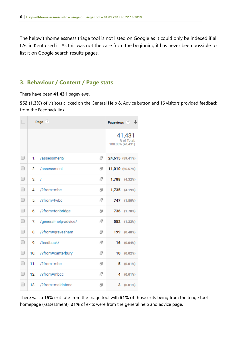The helpwithhomelessness triage tool is not listed on Google as it could only be indexed if all LAs in Kent used it. As this was not the case from the beginning it has never been possible to list it on Google search results pages.

#### <span id="page-5-0"></span>**3. Behaviour / Content / Page stats**

There have been **41,431** pageviews.

**552 (1.3%)** of visitors clicked on the General Help & Advice button and 16 visitors provided feedback from the Feedback link.

| $\Box$ |     | Page (?)              |   | Pageviews $\otimes$ $\forall$             |
|--------|-----|-----------------------|---|-------------------------------------------|
|        |     |                       |   | 41,431<br>% of Total:<br>100.00% (41,431) |
| □      | 1.  | /assessment/          | 囤 | 24,615 (59.41%)                           |
| $\Box$ | 2.  | /assessment           | 囤 | 11,010 (26.57%)                           |
| □      | 3.  | $\prime$              | Ð | 1,788<br>(4.32%)                          |
| O      | 4.  | /?from=mbc            | 嵒 | 1,735 (4.19%)                             |
| □      | 5.  | /?from=twbc           | Ð | 747<br>(1.80%)                            |
| ∩      | 6.  | /?from=tonbridge      | Ð | 736<br>(1.78%)                            |
| □      | 7.  | /general-help-advice/ | ⊕ | 552<br>(1.33%)                            |
| □      | 8.  | /?from=gravesham      | ⊕ | 199<br>(0.48%)                            |
| □      | 9.  | /feedback/            | Ð | 16<br>(0.04%)                             |
| □      | 10. | /?from=canterbury     | ⊕ | 10<br>(0.02%                              |
| $\Box$ | 11. | /?from=mbc-           | 囤 | 5<br>(0.01%)                              |
| $\Box$ | 12. | /?from=mbcc           | Ð | (0.01%)<br>4                              |
| $\Box$ | 13. | /?from=maidstone      | ⊕ | (0.01%)<br>з                              |

There was a **15%** exit rate from the triage tool with **51%** of those exits being from the triage tool homepage (/assessment). **21%** of exits were from the general help and advice page.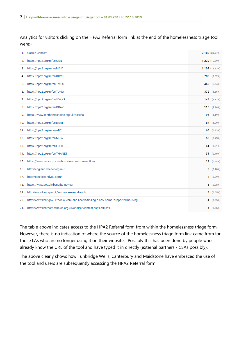Analytics for visitors clicking on the HPA2 Referral form link at the end of the homelessness triage tool were:-

| 1.  | <b>Cookie Consent</b>                                                              |    | 3,188 (39.97%)  |
|-----|------------------------------------------------------------------------------------|----|-----------------|
| 2.  | https://hpa2.org/refer/CANT                                                        |    | 1,339 (16.79%)  |
| З.  | https://hpa2.org/refer/MAID                                                        |    | 1,103 (13.83%)  |
| 4.  | https://hpa2.org/refer/DOVER                                                       |    | 783 (9.82%)     |
| 5.  | https://hpa2.org/refer/TMBC                                                        |    | 466 (5.84%)     |
| 6.  | https://hpa2.org/refer/TUNW                                                        |    | 372 (4.66%)     |
| 7.  | https://hpa2.org/refer/SOAKS                                                       |    | $146$ $(1.83%)$ |
| 8.  | https://hpa2.org/refer/GRAV                                                        |    | 115 (1.44%)     |
| 9.  | https://www.kenthomechoice.org.uk/assess                                           |    | 95 (1.19%)      |
| 10. | https://hpa2.org/refer/DART                                                        |    | 87 (1.09%)      |
| 11. | https://hpa2.org/refer/ABC                                                         |    | 66 $(0.83%)$    |
| 12. | https://hpa2.org/refer/MDW                                                         | 58 | (0.73%)         |
| 13. | https://hpa2.org/refer/FOLK                                                        |    | 41 (0.51%)      |
| 14. | https://hpa2.org/refer/THANET                                                      | 39 | (0.49%)         |
|     | 15. https://www.swale.gov.uk/homelessness-prevention/                              | 22 | (0.28%)         |
| 16. | http://england.shelter.org.uk/                                                     |    | $8(0.10\%)$     |
| 17. | http://cookiesandyou.com/                                                          |    | 7(0.09%)        |
| 18. | https://www.gov.uk/benefits-adviser                                                |    | 6(0.08%)        |
| 19. | http://www.kent.gov.uk/social-care-and-health                                      |    | 4(0.05%)        |
| 20. | http://www.kent.gov.uk/social-care-and-health/finding-a-new-home/supported-housing |    | 4(0.05%)        |
|     | 21. http://www.kenthomechoice.org.uk/choice/Content.aspx?wkid=1                    |    | 4(0.05%)        |

The table above indicates access to the HPA2 Referral form from within the homelessness triage form. However, there is no indication of where the source of the homelessness triage form link came from for those LAs who are no longer using it on their websites. Possibly this has been done by people who already know the URL of the tool and have typed it in directly (external partners / CSAs possibly).

The above clearly shows how Tunbridge Wells, Canterbury and Maidstone have embraced the use of the tool and users are subsequently accessing the HPA2 Referral form.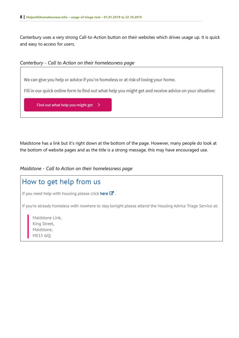Canterbury uses a very strong Call-to-Action button on their websites which drives usage up. It is quick and easy to access for users.



We can give you help or advice if you're homeless or at risk of losing your home.

Fill in our quick online form to find out what help you might get and receive advice on your situation:

Find out what help you might get  $\rightarrow$ 

Maidstone has a link but it's right down at the bottom of the page. However, many people do look at the bottom of website pages and as the title is a strong message, this may have encouraged use.

*Maidstone - Call to Action on their homelessness page*

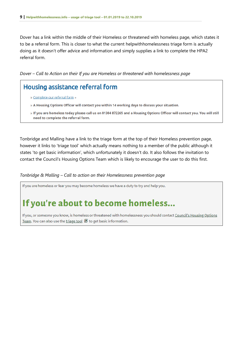Dover has a link within the middle of their Homeless or threatened with homeless page, which states it to be a referral form. This is closer to what the current helpwithhomelessness triage form is actually doing as it doesn't offer advice and information and simply supplies a link to complete the HPA2 referral form.

*Dover – Call to Action on their If you are Homeless or threatened with homelessness page*



- » Complete our referral form »
- » A Housing Options Officer will contact you within 14 working days to discuss your situation.
- » If you are homeless today please call us on 01304 872265 and a Housing Options Officer will contact you. You will still need to complete the referral form.

Tonbridge and Malling have a link to the triage form at the top of their Homeless prevention page, however it links to 'triage tool' which actually means nothing to a member of the public although it states 'to get basic information', which unfortunately it doesn't do. It also follows the invitation to contact the Council's Housing Options Team which is likely to encourage the user to do this first.

#### *Tonbridge & Malling – Call to action on their Homelessness prevention page*

If you are homeless or fear you may become homeless we have a duty to try and help you.

# If you're about to become homeless...

If you, or someone you know, is homeless or threatened with homelessness you should contact Council's Housing Options Team. You can also use the triage tool  $\Box$  to get basic information.